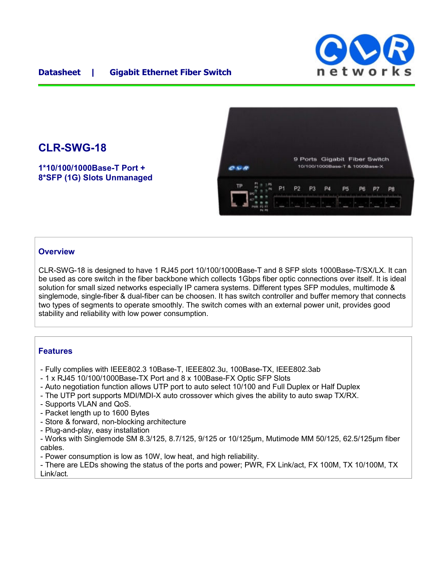

## **CLR-SWG-18**

**1\*10/100/1000Base-T Port + 8\*SFP (1G) Slots Unmanaged**



## **Overview**

CLR-SWG-18 is designed to have 1 RJ45 port 10/100/1000Base-T and 8 SFP slots 1000Base-T/SX/LX. It can be used as core switch in the fiber backbone which collects 1Gbps fiber optic connections over itself. It is ideal solution for small sized networks especially IP camera systems. Different types SFP modules, multimode & singlemode, single-fiber & dual-fiber can be choosen. It has switch controller and buffer memory that connects two types of segments to operate smoothly. The switch comes with an external power unit, provides good stability and reliability with low power consumption.

## **Features**

- Fully complies with IEEE802.3 10Base-T, IEEE802.3u, 100Base-TX, IEEE802.3ab
- 1 x RJ45 10/100/1000Base-TX Port and 8 x 100Base-FX Optic SFP Slots
- Auto negotiation function allows UTP port to auto select 10/100 and Full Duplex or Half Duplex
- The UTP port supports MDI/MDI-X auto crossover which gives the ability to auto swap TX/RX.
- Supports VLAN and QoS.
- Packet length up to 1600 Bytes
- Store & forward, non-blocking architecture
- Plug-and-play, easy installation
- Works with Singlemode SM 8.3/125, 8.7/125, 9/125 or 10/125μm, Mutimode MM 50/125, 62.5/125μm fiber cables.
- Power consumption is low as 10W, low heat, and high reliability.

- There are LEDs showing the status of the ports and power; PWR, FX Link/act, FX 100M, TX 10/100M, TX Link/act.